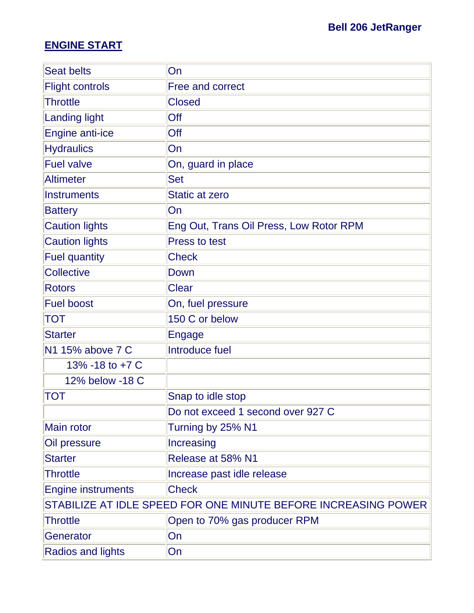# **ENGINE START**

| <b>Seat belts</b>         | <b>On</b>                                                      |
|---------------------------|----------------------------------------------------------------|
| <b>Flight controls</b>    | <b>Free and correct</b>                                        |
| <b>Throttle</b>           | <b>Closed</b>                                                  |
| <b>Landing light</b>      | Off                                                            |
| <b>Engine anti-ice</b>    | Off                                                            |
| <b>Hydraulics</b>         | <b>On</b>                                                      |
| <b>Fuel valve</b>         | On, guard in place                                             |
| <b>Altimeter</b>          | <b>Set</b>                                                     |
| <b>Instruments</b>        | <b>Static at zero</b>                                          |
| <b>Battery</b>            | On                                                             |
| <b>Caution lights</b>     | Eng Out, Trans Oil Press, Low Rotor RPM                        |
| <b>Caution lights</b>     | <b>Press to test</b>                                           |
| <b>Fuel quantity</b>      | <b>Check</b>                                                   |
| <b>Collective</b>         | Down                                                           |
| <b>Rotors</b>             | <b>Clear</b>                                                   |
| <b>Fuel boost</b>         | On, fuel pressure                                              |
| TOT                       | 150 C or below                                                 |
| <b>Starter</b>            | Engage                                                         |
| N1 15% above 7 C          | Introduce fuel                                                 |
| 13% -18 to +7 C           |                                                                |
| 12% below -18 C           |                                                                |
| <b>TOT</b>                | Snap to idle stop                                              |
|                           | Do not exceed 1 second over 927 C                              |
| Main rotor                | Turning by 25% N1                                              |
| Oil pressure              | Increasing                                                     |
| <b>Starter</b>            | Release at 58% N1                                              |
| <b>Throttle</b>           | Increase past idle release                                     |
| <b>Engine instruments</b> | <b>Check</b>                                                   |
|                           | STABILIZE AT IDLE SPEED FOR ONE MINUTE BEFORE INCREASING POWER |
| <b>Throttle</b>           | Open to 70% gas producer RPM                                   |
| Generator                 | On                                                             |
| <b>Radios and lights</b>  | <b>On</b>                                                      |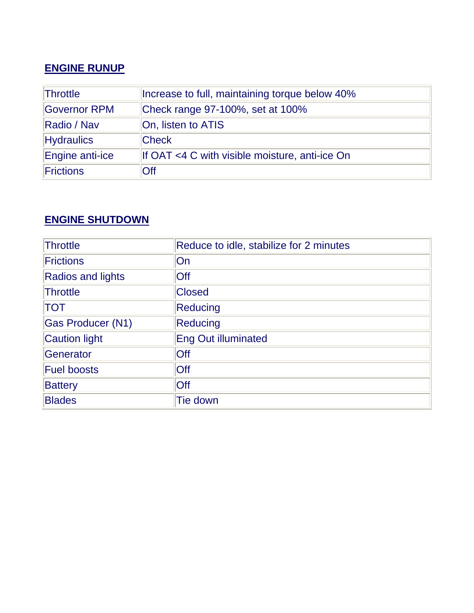### **ENGINE RUNUP**

| <b>Throttle</b>   | Increase to full, maintaining torque below 40% |  |
|-------------------|------------------------------------------------|--|
| Governor RPM      | Check range 97-100%, set at 100%               |  |
| Radio / Nav       | On, listen to ATIS                             |  |
| <b>Hydraulics</b> | <b>Check</b>                                   |  |
| Engine anti-ice   | If OAT <4 C with visible moisture, anti-ice On |  |
| Frictions         | Off                                            |  |

#### **ENGINE SHUTDOWN**

| <b>Throttle</b>          | Reduce to idle, stabilize for 2 minutes |
|--------------------------|-----------------------------------------|
| <b>Frictions</b>         | On                                      |
| <b>Radios and lights</b> | Off                                     |
| Throttle                 | <b>Closed</b>                           |
| <b>TOT</b>               | <b>Reducing</b>                         |
| <b>Gas Producer (N1)</b> | <b>Reducing</b>                         |
| <b>Caution light</b>     | <b>Eng Out illuminated</b>              |
| Generator                | Off                                     |
| <b>Fuel boosts</b>       | Off                                     |
| <b>Battery</b>           | Off                                     |
| <b>Blades</b>            | <b>Tie down</b>                         |